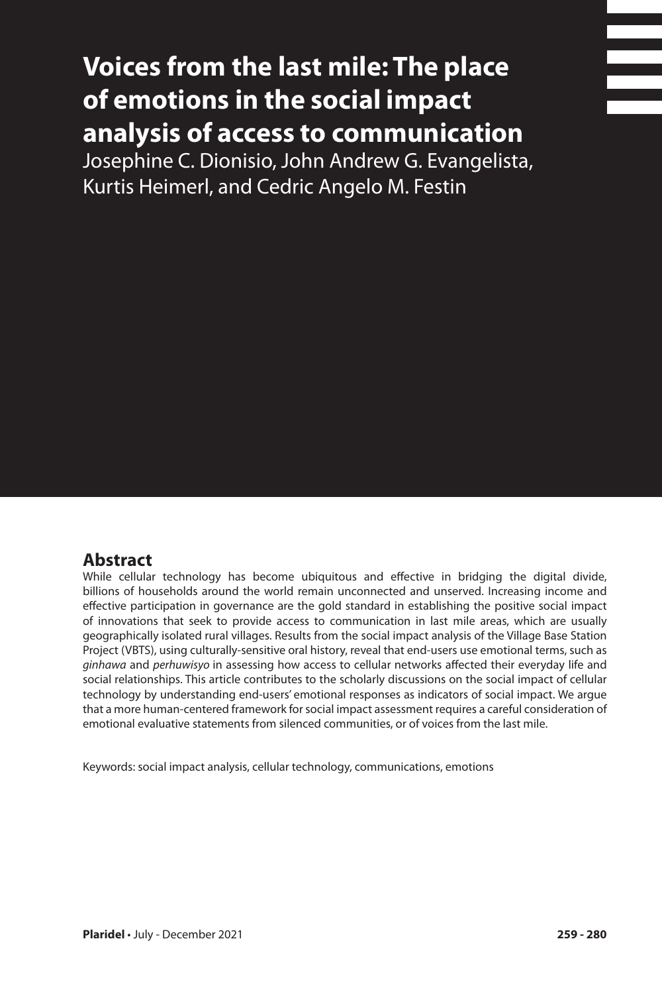# **Voices from the last mile: The place of emotions in the social impact analysis of access to communication**

Josephine C. Dionisio, John Andrew G. Evangelista, Kurtis Heimerl, and Cedric Angelo M. Festin

#### **Abstract**

While cellular technology has become ubiquitous and effective in bridging the digital divide, billions of households around the world remain unconnected and unserved. Increasing income and effective participation in governance are the gold standard in establishing the positive social impact of innovations that seek to provide access to communication in last mile areas, which are usually geographically isolated rural villages. Results from the social impact analysis of the Village Base Station Project (VBTS), using culturally-sensitive oral history, reveal that end-users use emotional terms, such as *ginhawa* and *perhuwisyo* in assessing how access to cellular networks affected their everyday life and social relationships. This article contributes to the scholarly discussions on the social impact of cellular technology by understanding end-users' emotional responses as indicators of social impact. We argue that a more human-centered framework for social impact assessment requires a careful consideration of emotional evaluative statements from silenced communities, or of voices from the last mile.

Keywords: social impact analysis, cellular technology, communications, emotions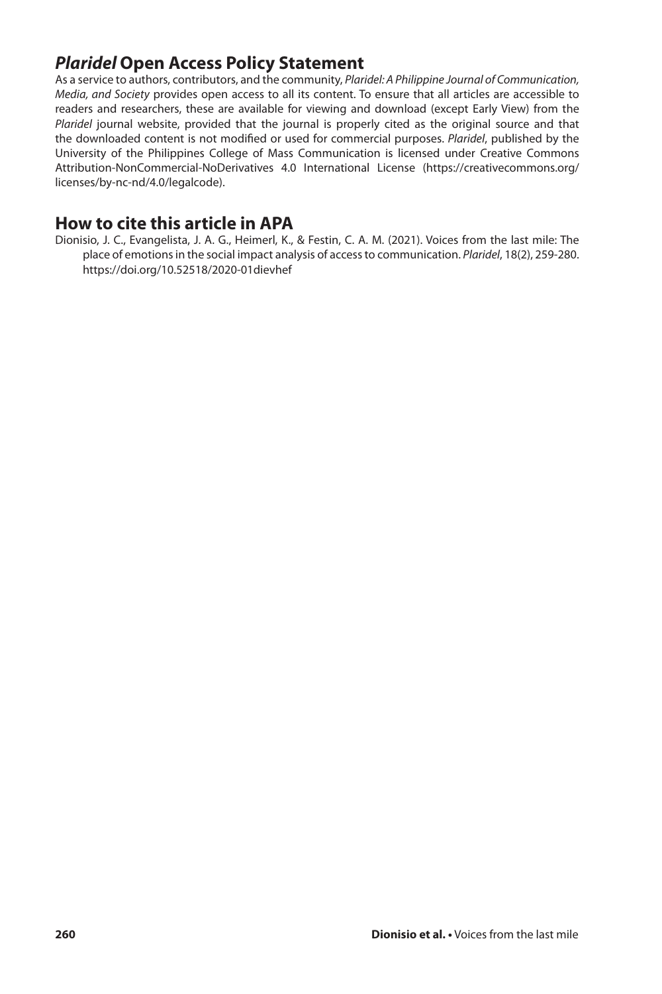# *Plaridel* **Open Access Policy Statement**

As a service to authors, contributors, and the community, *Plaridel: A Philippine Journal of Communication, Media, and Society* provides open access to all its content. To ensure that all articles are accessible to readers and researchers, these are available for viewing and download (except Early View) from the *Plaridel* journal website, provided that the journal is properly cited as the original source and that the downloaded content is not modified or used for commercial purposes. *Plaridel*, published by the University of the Philippines College of Mass Communication is licensed under Creative Commons Attribution-NonCommercial-NoDerivatives 4.0 International License (https://creativecommons.org/ licenses/by-nc-nd/4.0/legalcode).

#### **How to cite this article in APA**

Dionisio, J. C., Evangelista, J. A. G., Heimerl, K., & Festin, C. A. M. (2021). Voices from the last mile: The place of emotions in the social impact analysis of access to communication. *Plaridel*, 18(2), 259-280. https://doi.org/10.52518/2020-01dievhef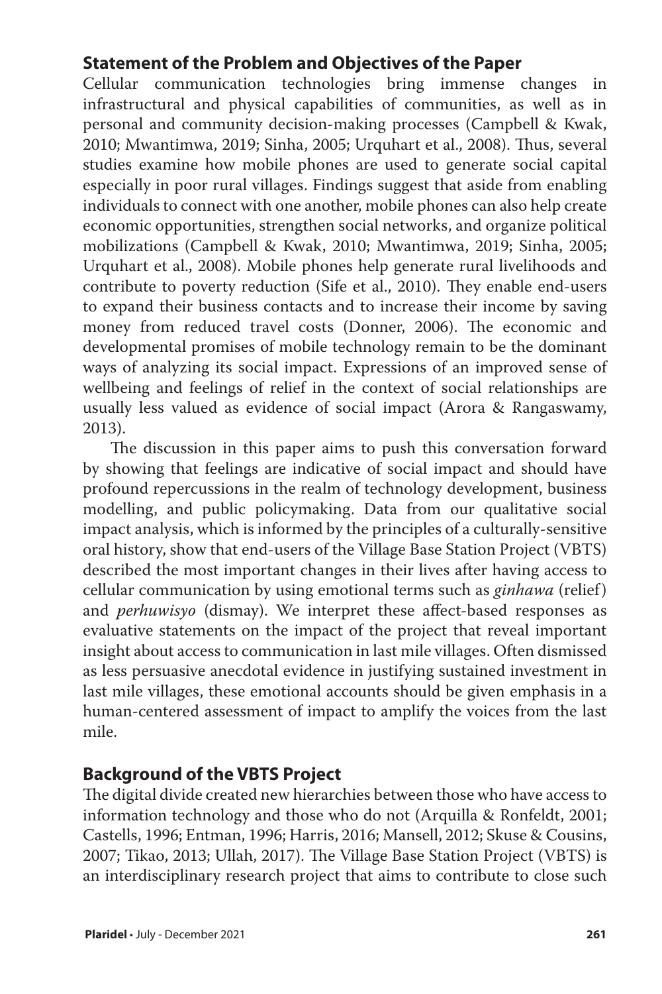# **Statement of the Problem and Objectives of the Paper**

Cellular communication technologies bring immense changes in infrastructural and physical capabilities of communities, as well as in personal and community decision-making processes (Campbell & Kwak, 2010; Mwantimwa, 2019; Sinha, 2005; Urquhart et al., 2008). Thus, several studies examine how mobile phones are used to generate social capital especially in poor rural villages. Findings suggest that aside from enabling individuals to connect with one another, mobile phones can also help create economic opportunities, strengthen social networks, and organize political mobilizations (Campbell & Kwak, 2010; Mwantimwa, 2019; Sinha, 2005; Urquhart et al., 2008). Mobile phones help generate rural livelihoods and contribute to poverty reduction (Sife et al., 2010). They enable end-users to expand their business contacts and to increase their income by saving money from reduced travel costs (Donner, 2006). The economic and developmental promises of mobile technology remain to be the dominant ways of analyzing its social impact. Expressions of an improved sense of wellbeing and feelings of relief in the context of social relationships are usually less valued as evidence of social impact (Arora & Rangaswamy, 2013).

The discussion in this paper aims to push this conversation forward by showing that feelings are indicative of social impact and should have profound repercussions in the realm of technology development, business modelling, and public policymaking. Data from our qualitative social impact analysis, which is informed by the principles of a culturally-sensitive oral history, show that end-users of the Village Base Station Project (VBTS) described the most important changes in their lives after having access to cellular communication by using emotional terms such as *ginhawa* (relief) and *perhuwisyo* (dismay). We interpret these affect-based responses as evaluative statements on the impact of the project that reveal important insight about access to communication in last mile villages. Often dismissed as less persuasive anecdotal evidence in justifying sustained investment in last mile villages, these emotional accounts should be given emphasis in a human-centered assessment of impact to amplify the voices from the last mile.

# **Background of the VBTS Project**

The digital divide created new hierarchies between those who have access to information technology and those who do not (Arquilla & Ronfeldt, 2001; Castells, 1996; Entman, 1996; Harris, 2016; Mansell, 2012; Skuse & Cousins, 2007; Tikao, 2013; Ullah, 2017). The Village Base Station Project (VBTS) is an interdisciplinary research project that aims to contribute to close such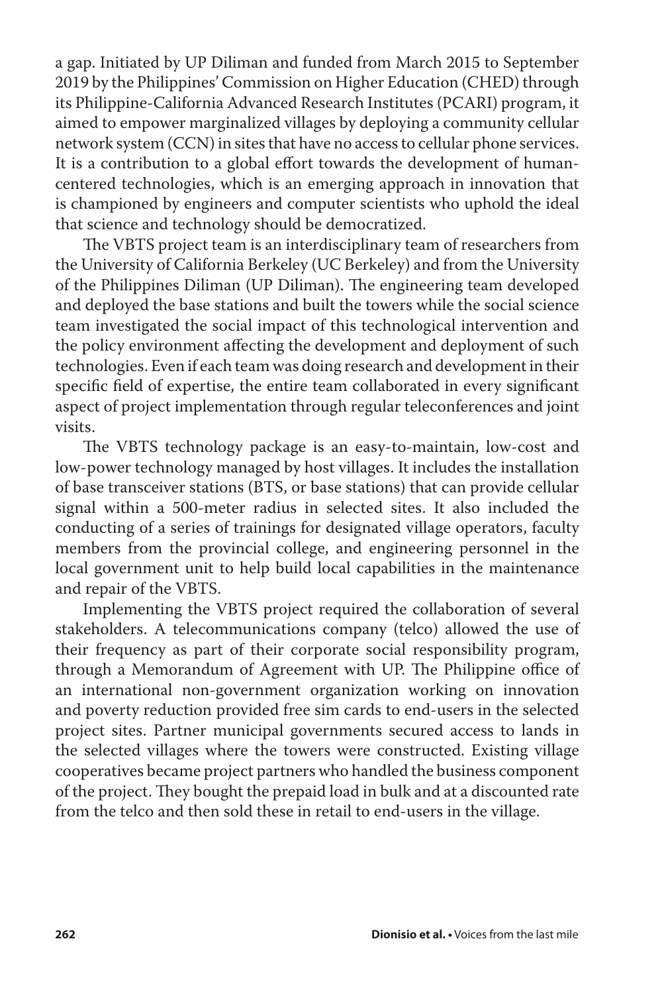a gap. Initiated by UP Diliman and funded from March 2015 to September 2019 by the Philippines' Commission on Higher Education (CHED) through its Philippine-California Advanced Research Institutes (PCARI) program, it aimed to empower marginalized villages by deploying a community cellular network system (CCN) in sites that have no access to cellular phone services. It is a contribution to a global effort towards the development of humancentered technologies, which is an emerging approach in innovation that is championed by engineers and computer scientists who uphold the ideal that science and technology should be democratized.

The VBTS project team is an interdisciplinary team of researchers from the University of California Berkeley (UC Berkeley) and from the University of the Philippines Diliman (UP Diliman). The engineering team developed and deployed the base stations and built the towers while the social science team investigated the social impact of this technological intervention and the policy environment affecting the development and deployment of such technologies. Even if each team was doing research and development in their specific field of expertise, the entire team collaborated in every significant aspect of project implementation through regular teleconferences and joint visits.

The VBTS technology package is an easy-to-maintain, low-cost and low-power technology managed by host villages. It includes the installation of base transceiver stations (BTS, or base stations) that can provide cellular signal within a 500-meter radius in selected sites. It also included the conducting of a series of trainings for designated village operators, faculty members from the provincial college, and engineering personnel in the local government unit to help build local capabilities in the maintenance and repair of the VBTS.

Implementing the VBTS project required the collaboration of several stakeholders. A telecommunications company (telco) allowed the use of their frequency as part of their corporate social responsibility program, through a Memorandum of Agreement with UP. The Philippine office of an international non-government organization working on innovation and poverty reduction provided free sim cards to end-users in the selected project sites. Partner municipal governments secured access to lands in the selected villages where the towers were constructed. Existing village cooperatives became project partners who handled the business component of the project. They bought the prepaid load in bulk and at a discounted rate from the telco and then sold these in retail to end-users in the village.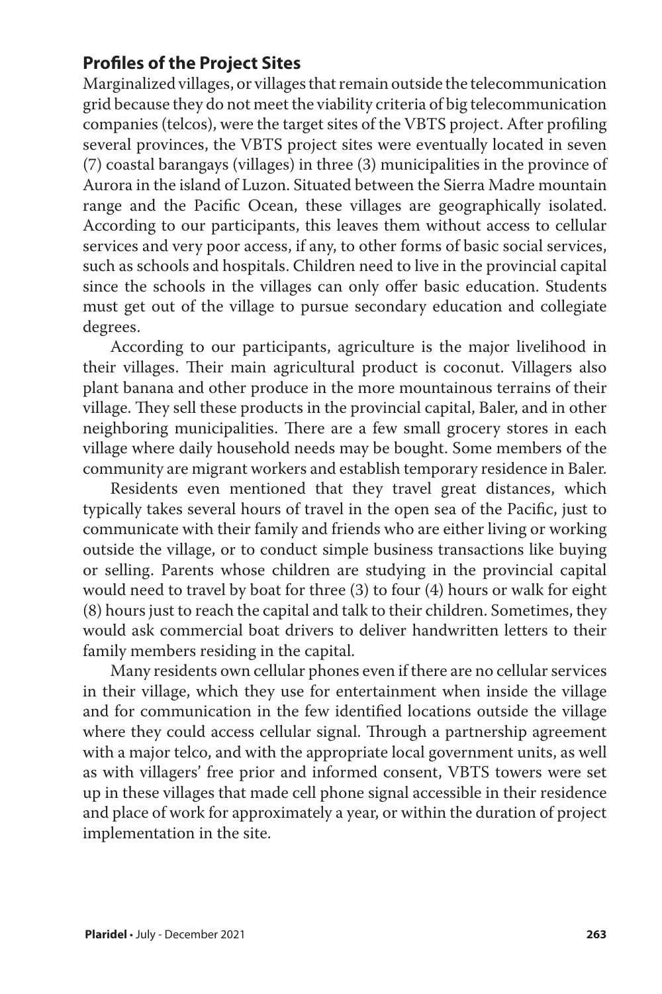# **Profiles of the Project Sites**

Marginalized villages, or villages that remain outside the telecommunication grid because they do not meet the viability criteria of big telecommunication companies (telcos), were the target sites of the VBTS project. After profiling several provinces, the VBTS project sites were eventually located in seven (7) coastal barangays (villages) in three (3) municipalities in the province of Aurora in the island of Luzon. Situated between the Sierra Madre mountain range and the Pacific Ocean, these villages are geographically isolated. According to our participants, this leaves them without access to cellular services and very poor access, if any, to other forms of basic social services, such as schools and hospitals. Children need to live in the provincial capital since the schools in the villages can only offer basic education. Students must get out of the village to pursue secondary education and collegiate degrees.

According to our participants, agriculture is the major livelihood in their villages. Their main agricultural product is coconut. Villagers also plant banana and other produce in the more mountainous terrains of their village. They sell these products in the provincial capital, Baler, and in other neighboring municipalities. There are a few small grocery stores in each village where daily household needs may be bought. Some members of the community are migrant workers and establish temporary residence in Baler.

Residents even mentioned that they travel great distances, which typically takes several hours of travel in the open sea of the Pacific, just to communicate with their family and friends who are either living or working outside the village, or to conduct simple business transactions like buying or selling. Parents whose children are studying in the provincial capital would need to travel by boat for three (3) to four (4) hours or walk for eight (8) hours just to reach the capital and talk to their children. Sometimes, they would ask commercial boat drivers to deliver handwritten letters to their family members residing in the capital.

Many residents own cellular phones even if there are no cellular services in their village, which they use for entertainment when inside the village and for communication in the few identified locations outside the village where they could access cellular signal. Through a partnership agreement with a major telco, and with the appropriate local government units, as well as with villagers' free prior and informed consent, VBTS towers were set up in these villages that made cell phone signal accessible in their residence and place of work for approximately a year, or within the duration of project implementation in the site.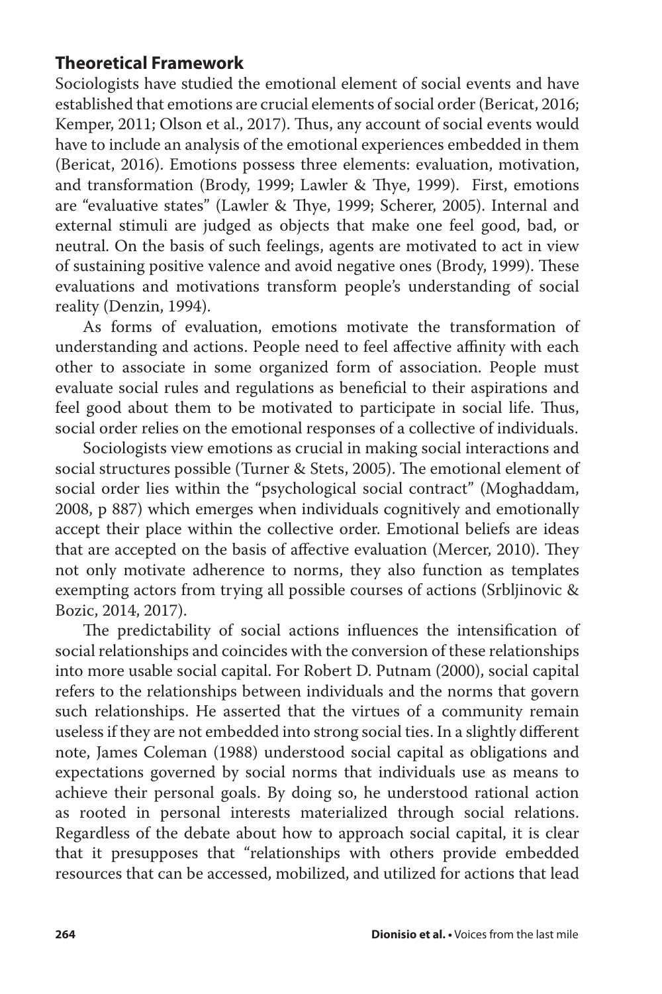## **Theoretical Framework**

Sociologists have studied the emotional element of social events and have established that emotions are crucial elements of social order (Bericat, 2016; Kemper, 2011; Olson et al., 2017). Thus, any account of social events would have to include an analysis of the emotional experiences embedded in them (Bericat, 2016). Emotions possess three elements: evaluation, motivation, and transformation (Brody, 1999; Lawler & Thye, 1999). First, emotions are "evaluative states" (Lawler & Thye, 1999; Scherer, 2005). Internal and external stimuli are judged as objects that make one feel good, bad, or neutral. On the basis of such feelings, agents are motivated to act in view of sustaining positive valence and avoid negative ones (Brody, 1999). These evaluations and motivations transform people's understanding of social reality (Denzin, 1994).

As forms of evaluation, emotions motivate the transformation of understanding and actions. People need to feel affective affinity with each other to associate in some organized form of association. People must evaluate social rules and regulations as beneficial to their aspirations and feel good about them to be motivated to participate in social life. Thus, social order relies on the emotional responses of a collective of individuals.

Sociologists view emotions as crucial in making social interactions and social structures possible (Turner & Stets, 2005). The emotional element of social order lies within the "psychological social contract" (Moghaddam, 2008, p 887) which emerges when individuals cognitively and emotionally accept their place within the collective order. Emotional beliefs are ideas that are accepted on the basis of affective evaluation (Mercer, 2010). They not only motivate adherence to norms, they also function as templates exempting actors from trying all possible courses of actions (Srbljinovic & Bozic, 2014, 2017).

The predictability of social actions influences the intensification of social relationships and coincides with the conversion of these relationships into more usable social capital. For Robert D. Putnam (2000), social capital refers to the relationships between individuals and the norms that govern such relationships. He asserted that the virtues of a community remain useless if they are not embedded into strong social ties. In a slightly different note, James Coleman (1988) understood social capital as obligations and expectations governed by social norms that individuals use as means to achieve their personal goals. By doing so, he understood rational action as rooted in personal interests materialized through social relations. Regardless of the debate about how to approach social capital, it is clear that it presupposes that "relationships with others provide embedded resources that can be accessed, mobilized, and utilized for actions that lead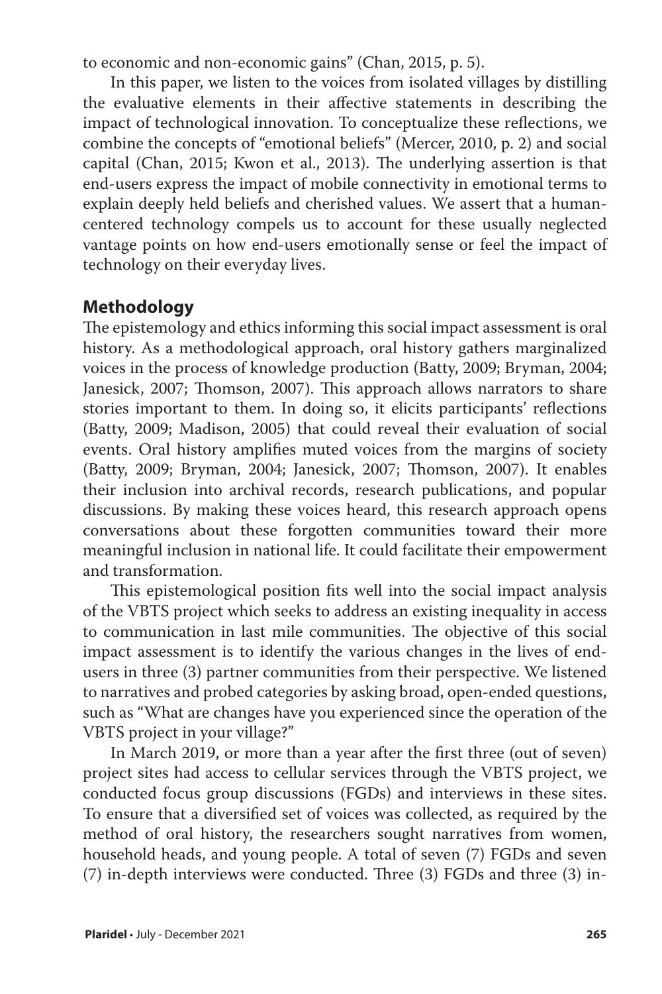to economic and non-economic gains" (Chan, 2015, p. 5).

In this paper, we listen to the voices from isolated villages by distilling the evaluative elements in their affective statements in describing the impact of technological innovation. To conceptualize these reflections, we combine the concepts of "emotional beliefs" (Mercer, 2010, p. 2) and social capital (Chan, 2015; Kwon et al., 2013). The underlying assertion is that end-users express the impact of mobile connectivity in emotional terms to explain deeply held beliefs and cherished values. We assert that a humancentered technology compels us to account for these usually neglected vantage points on how end-users emotionally sense or feel the impact of technology on their everyday lives.

# **Methodology**

The epistemology and ethics informing this social impact assessment is oral history. As a methodological approach, oral history gathers marginalized voices in the process of knowledge production (Batty, 2009; Bryman, 2004; Janesick, 2007; Thomson, 2007). This approach allows narrators to share stories important to them. In doing so, it elicits participants' reflections (Batty, 2009; Madison, 2005) that could reveal their evaluation of social events. Oral history amplifies muted voices from the margins of society (Batty, 2009; Bryman, 2004; Janesick, 2007; Thomson, 2007). It enables their inclusion into archival records, research publications, and popular discussions. By making these voices heard, this research approach opens conversations about these forgotten communities toward their more meaningful inclusion in national life. It could facilitate their empowerment and transformation.

This epistemological position fits well into the social impact analysis of the VBTS project which seeks to address an existing inequality in access to communication in last mile communities. The objective of this social impact assessment is to identify the various changes in the lives of endusers in three (3) partner communities from their perspective. We listened to narratives and probed categories by asking broad, open-ended questions, such as "What are changes have you experienced since the operation of the VBTS project in your village?"

In March 2019, or more than a year after the first three (out of seven) project sites had access to cellular services through the VBTS project, we conducted focus group discussions (FGDs) and interviews in these sites. To ensure that a diversified set of voices was collected, as required by the method of oral history, the researchers sought narratives from women, household heads, and young people. A total of seven (7) FGDs and seven (7) in-depth interviews were conducted. Three (3) FGDs and three (3) in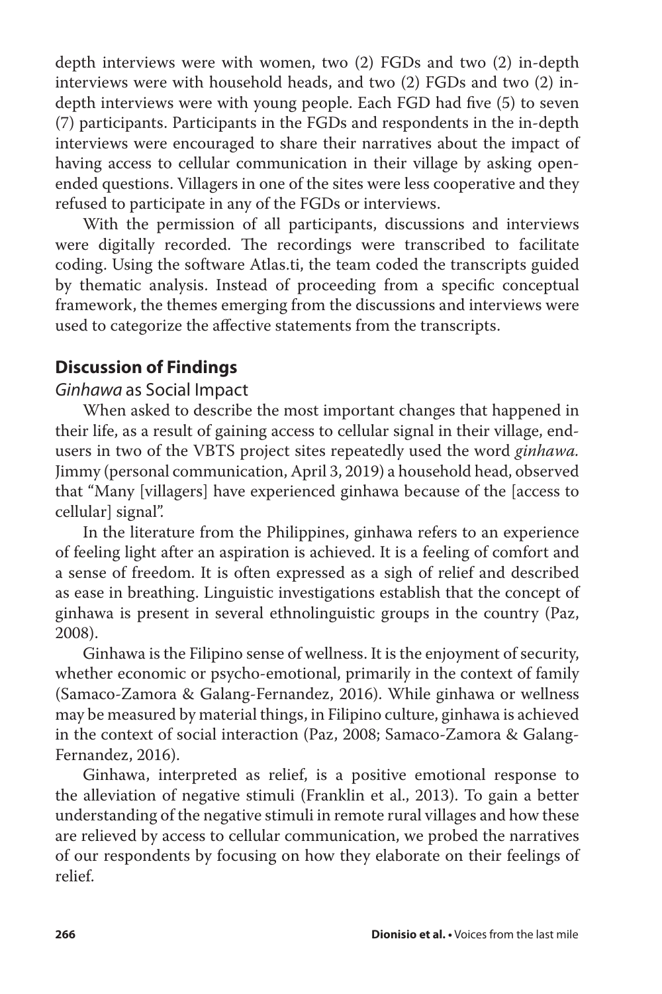depth interviews were with women, two (2) FGDs and two (2) in-depth interviews were with household heads, and two (2) FGDs and two (2) indepth interviews were with young people. Each FGD had five (5) to seven (7) participants. Participants in the FGDs and respondents in the in-depth interviews were encouraged to share their narratives about the impact of having access to cellular communication in their village by asking openended questions. Villagers in one of the sites were less cooperative and they refused to participate in any of the FGDs or interviews.

With the permission of all participants, discussions and interviews were digitally recorded. The recordings were transcribed to facilitate coding. Using the software Atlas.ti, the team coded the transcripts guided by thematic analysis. Instead of proceeding from a specific conceptual framework, the themes emerging from the discussions and interviews were used to categorize the affective statements from the transcripts.

## **Discussion of Findings**

## *Ginhawa* as Social Impact

When asked to describe the most important changes that happened in their life, as a result of gaining access to cellular signal in their village, endusers in two of the VBTS project sites repeatedly used the word *ginhawa.* Jimmy (personal communication, April 3, 2019) a household head, observed that "Many [villagers] have experienced ginhawa because of the [access to cellular] signal".

In the literature from the Philippines, ginhawa refers to an experience of feeling light after an aspiration is achieved. It is a feeling of comfort and a sense of freedom. It is often expressed as a sigh of relief and described as ease in breathing. Linguistic investigations establish that the concept of ginhawa is present in several ethnolinguistic groups in the country (Paz, 2008).

Ginhawa is the Filipino sense of wellness. It is the enjoyment of security, whether economic or psycho-emotional, primarily in the context of family (Samaco-Zamora & Galang-Fernandez, 2016). While ginhawa or wellness may be measured by material things, in Filipino culture, ginhawa is achieved in the context of social interaction (Paz, 2008; Samaco-Zamora & Galang-Fernandez, 2016).

Ginhawa, interpreted as relief, is a positive emotional response to the alleviation of negative stimuli (Franklin et al., 2013). To gain a better understanding of the negative stimuli in remote rural villages and how these are relieved by access to cellular communication, we probed the narratives of our respondents by focusing on how they elaborate on their feelings of relief.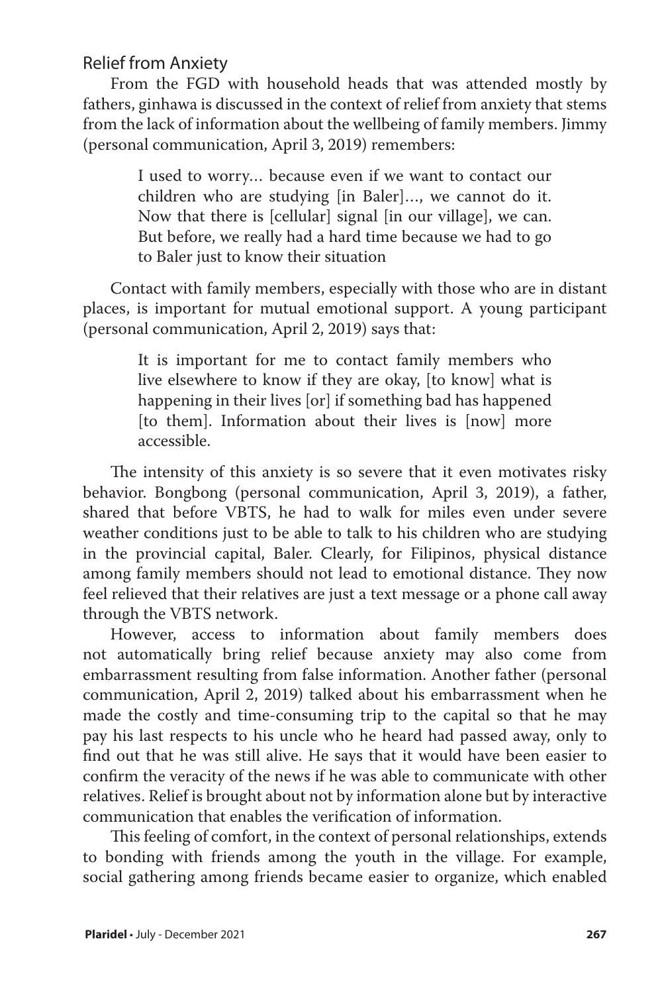Relief from Anxiety

From the FGD with household heads that was attended mostly by fathers, ginhawa is discussed in the context of relief from anxiety that stems from the lack of information about the wellbeing of family members. Jimmy (personal communication, April 3, 2019) remembers:

> I used to worry… because even if we want to contact our children who are studying [in Baler]…, we cannot do it. Now that there is [cellular] signal [in our village], we can. But before, we really had a hard time because we had to go to Baler just to know their situation

Contact with family members, especially with those who are in distant places, is important for mutual emotional support. A young participant (personal communication, April 2, 2019) says that:

> It is important for me to contact family members who live elsewhere to know if they are okay, [to know] what is happening in their lives [or] if something bad has happened [to them]. Information about their lives is [now] more accessible.

The intensity of this anxiety is so severe that it even motivates risky behavior. Bongbong (personal communication, April 3, 2019), a father, shared that before VBTS, he had to walk for miles even under severe weather conditions just to be able to talk to his children who are studying in the provincial capital, Baler. Clearly, for Filipinos, physical distance among family members should not lead to emotional distance. They now feel relieved that their relatives are just a text message or a phone call away through the VBTS network.

However, access to information about family members does not automatically bring relief because anxiety may also come from embarrassment resulting from false information. Another father (personal communication, April 2, 2019) talked about his embarrassment when he made the costly and time-consuming trip to the capital so that he may pay his last respects to his uncle who he heard had passed away, only to find out that he was still alive. He says that it would have been easier to confirm the veracity of the news if he was able to communicate with other relatives. Relief is brought about not by information alone but by interactive communication that enables the verification of information.

This feeling of comfort, in the context of personal relationships, extends to bonding with friends among the youth in the village. For example, social gathering among friends became easier to organize, which enabled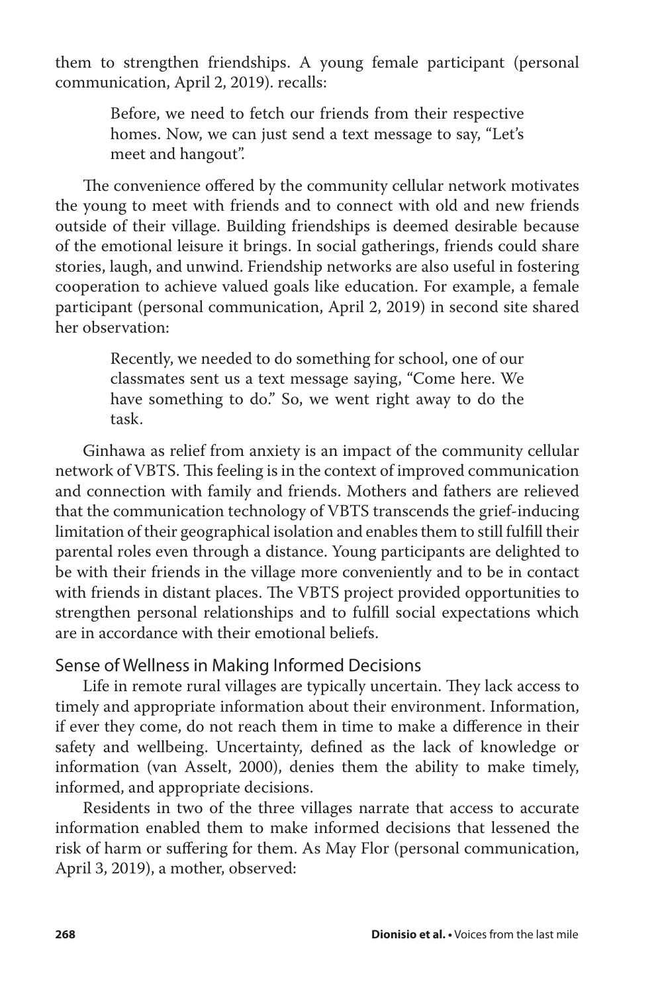them to strengthen friendships. A young female participant (personal communication, April 2, 2019). recalls:

> Before, we need to fetch our friends from their respective homes. Now, we can just send a text message to say, "Let's meet and hangout".

The convenience offered by the community cellular network motivates the young to meet with friends and to connect with old and new friends outside of their village. Building friendships is deemed desirable because of the emotional leisure it brings. In social gatherings, friends could share stories, laugh, and unwind. Friendship networks are also useful in fostering cooperation to achieve valued goals like education. For example, a female participant (personal communication, April 2, 2019) in second site shared her observation:

> Recently, we needed to do something for school, one of our classmates sent us a text message saying, "Come here. We have something to do." So, we went right away to do the task.

Ginhawa as relief from anxiety is an impact of the community cellular network of VBTS. This feeling is in the context of improved communication and connection with family and friends. Mothers and fathers are relieved that the communication technology of VBTS transcends the grief-inducing limitation of their geographical isolation and enables them to still fulfill their parental roles even through a distance. Young participants are delighted to be with their friends in the village more conveniently and to be in contact with friends in distant places. The VBTS project provided opportunities to strengthen personal relationships and to fulfill social expectations which are in accordance with their emotional beliefs.

#### Sense of Wellness in Making Informed Decisions

Life in remote rural villages are typically uncertain. They lack access to timely and appropriate information about their environment. Information, if ever they come, do not reach them in time to make a difference in their safety and wellbeing. Uncertainty, defined as the lack of knowledge or information (van Asselt, 2000), denies them the ability to make timely, informed, and appropriate decisions.

Residents in two of the three villages narrate that access to accurate information enabled them to make informed decisions that lessened the risk of harm or suffering for them. As May Flor (personal communication, April 3, 2019), a mother, observed: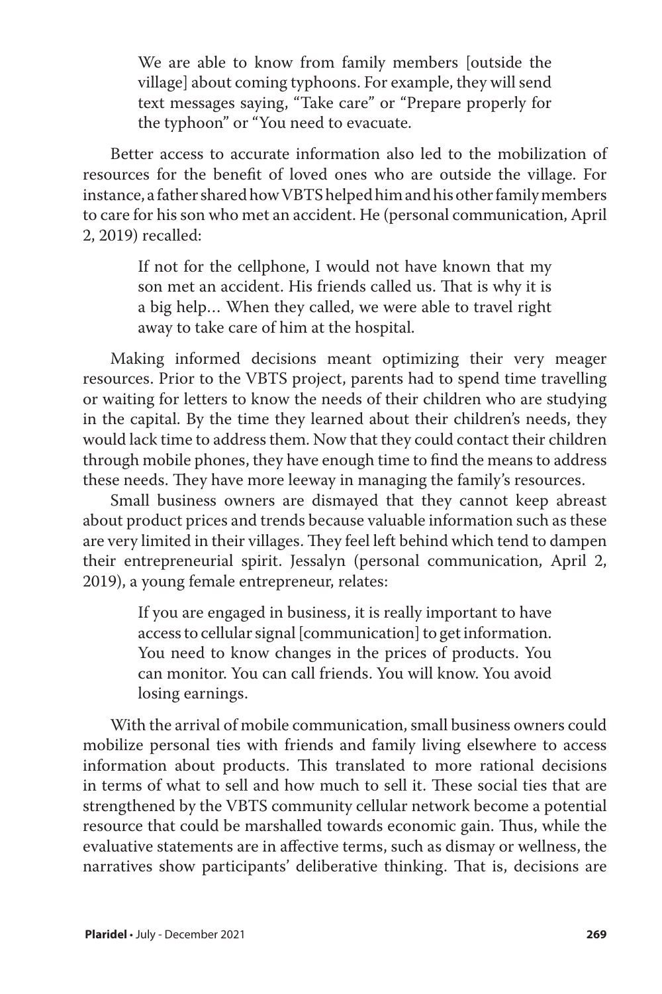We are able to know from family members [outside the village] about coming typhoons. For example, they will send text messages saying, "Take care" or "Prepare properly for the typhoon" or "You need to evacuate.

Better access to accurate information also led to the mobilization of resources for the benefit of loved ones who are outside the village. For instance, a father shared how VBTS helped him and his other family members to care for his son who met an accident. He (personal communication, April 2, 2019) recalled:

> If not for the cellphone, I would not have known that my son met an accident. His friends called us. That is why it is a big help… When they called, we were able to travel right away to take care of him at the hospital.

Making informed decisions meant optimizing their very meager resources. Prior to the VBTS project, parents had to spend time travelling or waiting for letters to know the needs of their children who are studying in the capital. By the time they learned about their children's needs, they would lack time to address them. Now that they could contact their children through mobile phones, they have enough time to find the means to address these needs. They have more leeway in managing the family's resources.

Small business owners are dismayed that they cannot keep abreast about product prices and trends because valuable information such as these are very limited in their villages. They feel left behind which tend to dampen their entrepreneurial spirit. Jessalyn (personal communication, April 2, 2019), a young female entrepreneur, relates:

> If you are engaged in business, it is really important to have access to cellular signal [communication] to get information. You need to know changes in the prices of products. You can monitor. You can call friends. You will know. You avoid losing earnings.

With the arrival of mobile communication, small business owners could mobilize personal ties with friends and family living elsewhere to access information about products. This translated to more rational decisions in terms of what to sell and how much to sell it. These social ties that are strengthened by the VBTS community cellular network become a potential resource that could be marshalled towards economic gain. Thus, while the evaluative statements are in affective terms, such as dismay or wellness, the narratives show participants' deliberative thinking. That is, decisions are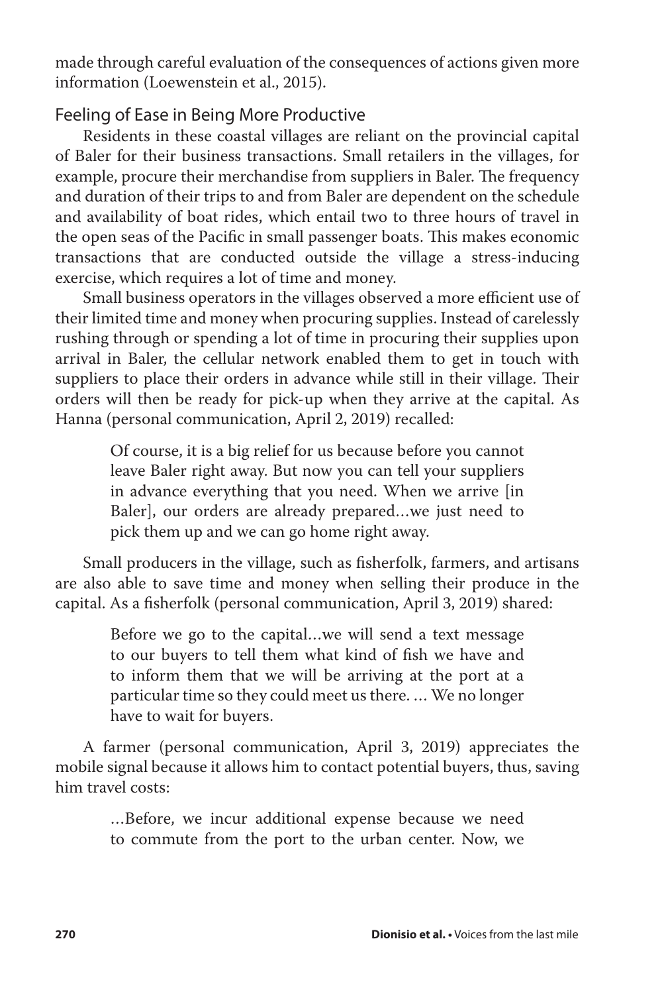made through careful evaluation of the consequences of actions given more information (Loewenstein et al., 2015).

#### Feeling of Ease in Being More Productive

Residents in these coastal villages are reliant on the provincial capital of Baler for their business transactions. Small retailers in the villages, for example, procure their merchandise from suppliers in Baler. The frequency and duration of their trips to and from Baler are dependent on the schedule and availability of boat rides, which entail two to three hours of travel in the open seas of the Pacific in small passenger boats. This makes economic transactions that are conducted outside the village a stress-inducing exercise, which requires a lot of time and money.

Small business operators in the villages observed a more efficient use of their limited time and money when procuring supplies. Instead of carelessly rushing through or spending a lot of time in procuring their supplies upon arrival in Baler, the cellular network enabled them to get in touch with suppliers to place their orders in advance while still in their village. Their orders will then be ready for pick-up when they arrive at the capital. As Hanna (personal communication, April 2, 2019) recalled:

> Of course, it is a big relief for us because before you cannot leave Baler right away. But now you can tell your suppliers in advance everything that you need. When we arrive [in Baler], our orders are already prepared…we just need to pick them up and we can go home right away.

Small producers in the village, such as fisherfolk, farmers, and artisans are also able to save time and money when selling their produce in the capital. As a fisherfolk (personal communication, April 3, 2019) shared:

> Before we go to the capital…we will send a text message to our buyers to tell them what kind of fish we have and to inform them that we will be arriving at the port at a particular time so they could meet us there. … We no longer have to wait for buyers.

A farmer (personal communication, April 3, 2019) appreciates the mobile signal because it allows him to contact potential buyers, thus, saving him travel costs:

> …Before, we incur additional expense because we need to commute from the port to the urban center. Now, we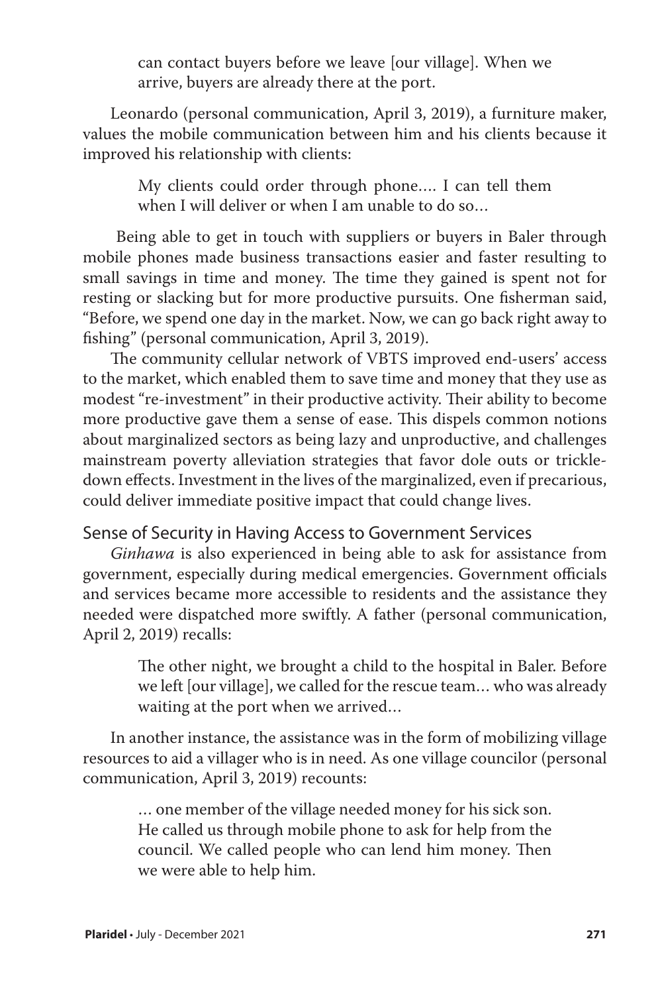can contact buyers before we leave [our village]. When we arrive, buyers are already there at the port.

Leonardo (personal communication, April 3, 2019), a furniture maker, values the mobile communication between him and his clients because it improved his relationship with clients:

> My clients could order through phone…. I can tell them when I will deliver or when I am unable to do so…

 Being able to get in touch with suppliers or buyers in Baler through mobile phones made business transactions easier and faster resulting to small savings in time and money. The time they gained is spent not for resting or slacking but for more productive pursuits. One fisherman said, "Before, we spend one day in the market. Now, we can go back right away to fishing" (personal communication, April 3, 2019).

The community cellular network of VBTS improved end-users' access to the market, which enabled them to save time and money that they use as modest "re-investment" in their productive activity. Their ability to become more productive gave them a sense of ease. This dispels common notions about marginalized sectors as being lazy and unproductive, and challenges mainstream poverty alleviation strategies that favor dole outs or trickledown effects. Investment in the lives of the marginalized, even if precarious, could deliver immediate positive impact that could change lives.

#### Sense of Security in Having Access to Government Services

*Ginhawa* is also experienced in being able to ask for assistance from government, especially during medical emergencies. Government officials and services became more accessible to residents and the assistance they needed were dispatched more swiftly. A father (personal communication, April 2, 2019) recalls:

> The other night, we brought a child to the hospital in Baler. Before we left [our village], we called for the rescue team… who was already waiting at the port when we arrived…

In another instance, the assistance was in the form of mobilizing village resources to aid a villager who is in need. As one village councilor (personal communication, April 3, 2019) recounts:

> … one member of the village needed money for his sick son. He called us through mobile phone to ask for help from the council. We called people who can lend him money. Then we were able to help him.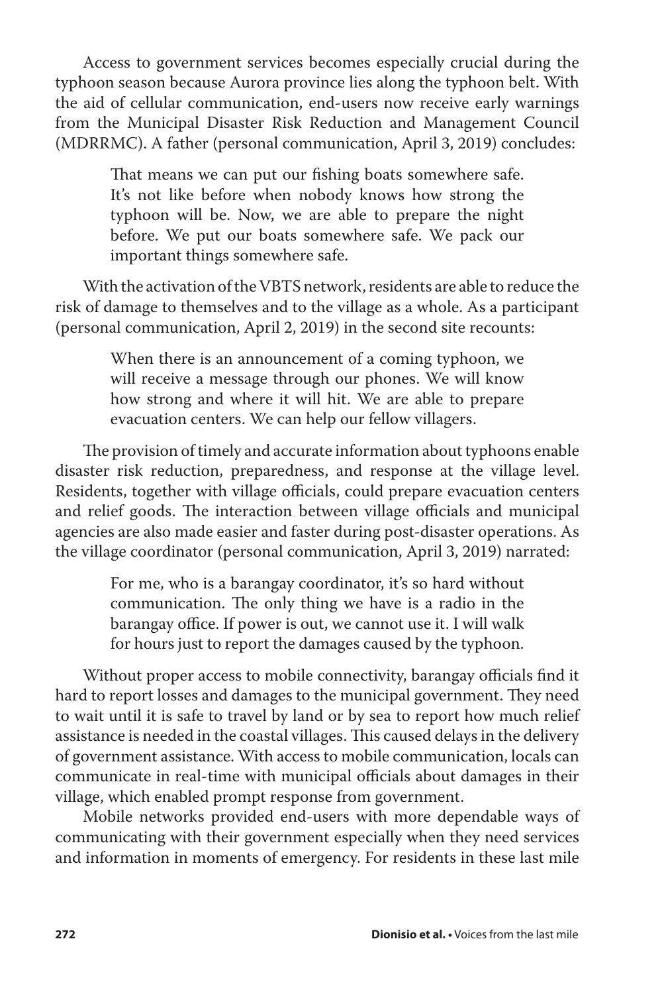Access to government services becomes especially crucial during the typhoon season because Aurora province lies along the typhoon belt. With the aid of cellular communication, end-users now receive early warnings from the Municipal Disaster Risk Reduction and Management Council (MDRRMC). A father (personal communication, April 3, 2019) concludes:

> That means we can put our fishing boats somewhere safe. It's not like before when nobody knows how strong the typhoon will be. Now, we are able to prepare the night before. We put our boats somewhere safe. We pack our important things somewhere safe.

With the activation of the VBTS network, residents are able to reduce the risk of damage to themselves and to the village as a whole. As a participant (personal communication, April 2, 2019) in the second site recounts:

> When there is an announcement of a coming typhoon, we will receive a message through our phones. We will know how strong and where it will hit. We are able to prepare evacuation centers. We can help our fellow villagers.

The provision of timely and accurate information about typhoons enable disaster risk reduction, preparedness, and response at the village level. Residents, together with village officials, could prepare evacuation centers and relief goods. The interaction between village officials and municipal agencies are also made easier and faster during post-disaster operations. As the village coordinator (personal communication, April 3, 2019) narrated:

> For me, who is a barangay coordinator, it's so hard without communication. The only thing we have is a radio in the barangay office. If power is out, we cannot use it. I will walk for hours just to report the damages caused by the typhoon.

Without proper access to mobile connectivity, barangay officials find it hard to report losses and damages to the municipal government. They need to wait until it is safe to travel by land or by sea to report how much relief assistance is needed in the coastal villages. This caused delays in the delivery of government assistance. With access to mobile communication, locals can communicate in real-time with municipal officials about damages in their village, which enabled prompt response from government.

Mobile networks provided end-users with more dependable ways of communicating with their government especially when they need services and information in moments of emergency. For residents in these last mile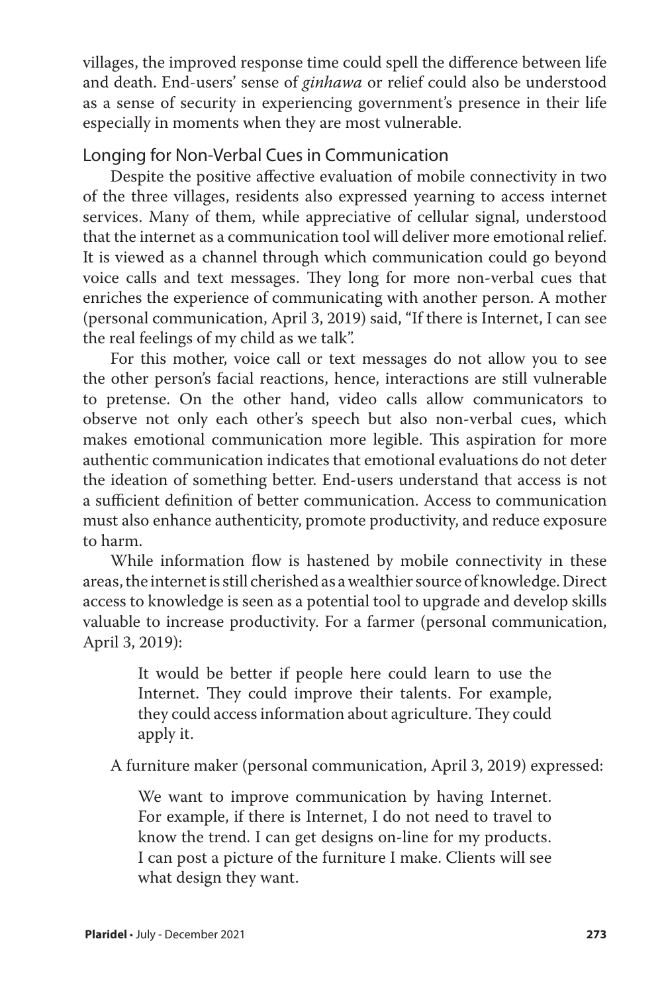villages, the improved response time could spell the difference between life and death. End-users' sense of *ginhawa* or relief could also be understood as a sense of security in experiencing government's presence in their life especially in moments when they are most vulnerable.

## Longing for Non-Verbal Cues in Communication

Despite the positive affective evaluation of mobile connectivity in two of the three villages, residents also expressed yearning to access internet services. Many of them, while appreciative of cellular signal, understood that the internet as a communication tool will deliver more emotional relief. It is viewed as a channel through which communication could go beyond voice calls and text messages. They long for more non-verbal cues that enriches the experience of communicating with another person. A mother (personal communication, April 3, 2019) said, "If there is Internet, I can see the real feelings of my child as we talk".

For this mother, voice call or text messages do not allow you to see the other person's facial reactions, hence, interactions are still vulnerable to pretense. On the other hand, video calls allow communicators to observe not only each other's speech but also non-verbal cues, which makes emotional communication more legible. This aspiration for more authentic communication indicates that emotional evaluations do not deter the ideation of something better. End-users understand that access is not a sufficient definition of better communication. Access to communication must also enhance authenticity, promote productivity, and reduce exposure to harm.

While information flow is hastened by mobile connectivity in these areas, the internet is still cherished as a wealthier source of knowledge. Direct access to knowledge is seen as a potential tool to upgrade and develop skills valuable to increase productivity. For a farmer (personal communication, April 3, 2019):

> It would be better if people here could learn to use the Internet. They could improve their talents. For example, they could access information about agriculture. They could apply it.

A furniture maker (personal communication, April 3, 2019) expressed:

We want to improve communication by having Internet. For example, if there is Internet, I do not need to travel to know the trend. I can get designs on-line for my products. I can post a picture of the furniture I make. Clients will see what design they want.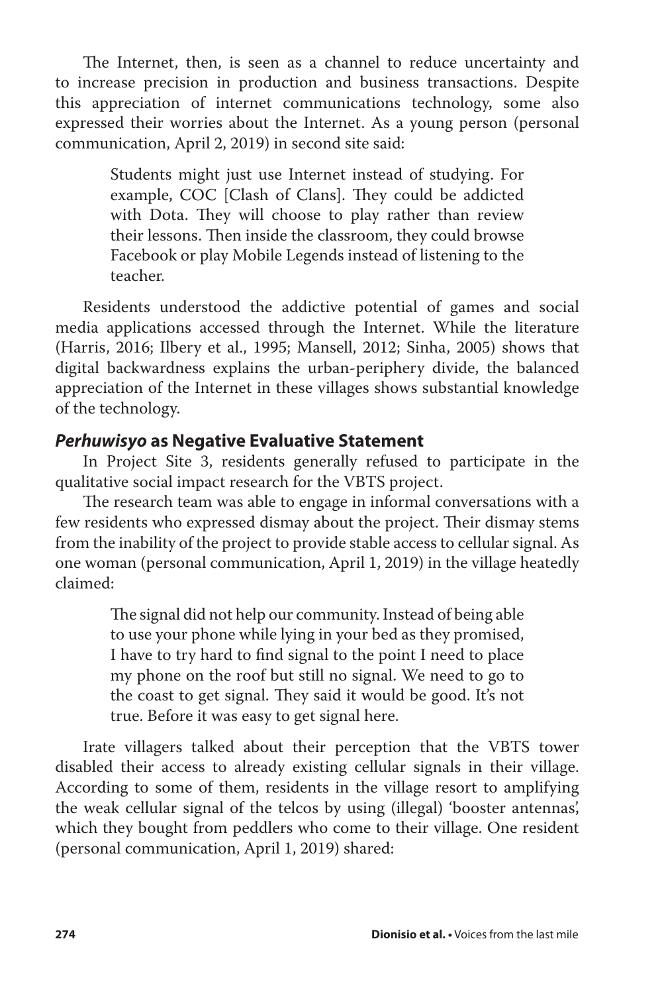The Internet, then, is seen as a channel to reduce uncertainty and to increase precision in production and business transactions. Despite this appreciation of internet communications technology, some also expressed their worries about the Internet. As a young person (personal communication, April 2, 2019) in second site said:

> Students might just use Internet instead of studying. For example, COC [Clash of Clans]. They could be addicted with Dota. They will choose to play rather than review their lessons. Then inside the classroom, they could browse Facebook or play Mobile Legends instead of listening to the teacher.

Residents understood the addictive potential of games and social media applications accessed through the Internet. While the literature (Harris, 2016; Ilbery et al., 1995; Mansell, 2012; Sinha, 2005) shows that digital backwardness explains the urban-periphery divide, the balanced appreciation of the Internet in these villages shows substantial knowledge of the technology.

#### *Perhuwisyo* **as Negative Evaluative Statement**

In Project Site 3, residents generally refused to participate in the qualitative social impact research for the VBTS project.

The research team was able to engage in informal conversations with a few residents who expressed dismay about the project. Their dismay stems from the inability of the project to provide stable access to cellular signal. As one woman (personal communication, April 1, 2019) in the village heatedly claimed:

> The signal did not help our community. Instead of being able to use your phone while lying in your bed as they promised, I have to try hard to find signal to the point I need to place my phone on the roof but still no signal. We need to go to the coast to get signal. They said it would be good. It's not true. Before it was easy to get signal here.

Irate villagers talked about their perception that the VBTS tower disabled their access to already existing cellular signals in their village. According to some of them, residents in the village resort to amplifying the weak cellular signal of the telcos by using (illegal) 'booster antennas', which they bought from peddlers who come to their village. One resident (personal communication, April 1, 2019) shared: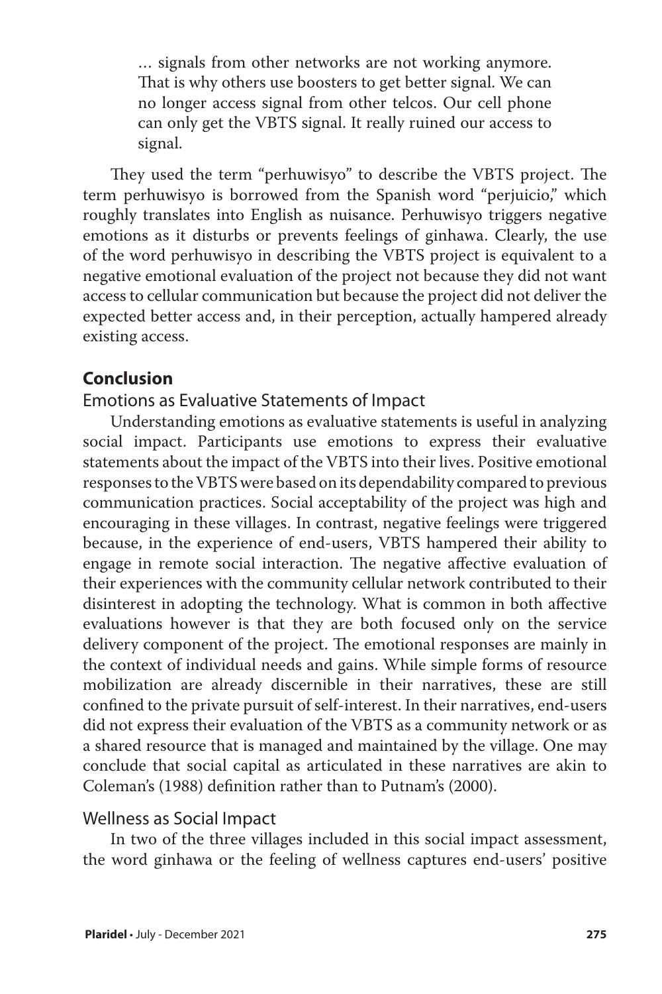… signals from other networks are not working anymore. That is why others use boosters to get better signal. We can no longer access signal from other telcos. Our cell phone can only get the VBTS signal. It really ruined our access to signal.

They used the term "perhuwisyo" to describe the VBTS project. The term perhuwisyo is borrowed from the Spanish word "perjuicio," which roughly translates into English as nuisance. Perhuwisyo triggers negative emotions as it disturbs or prevents feelings of ginhawa. Clearly, the use of the word perhuwisyo in describing the VBTS project is equivalent to a negative emotional evaluation of the project not because they did not want access to cellular communication but because the project did not deliver the expected better access and, in their perception, actually hampered already existing access.

## **Conclusion**

Emotions as Evaluative Statements of Impact

Understanding emotions as evaluative statements is useful in analyzing social impact. Participants use emotions to express their evaluative statements about the impact of the VBTS into their lives. Positive emotional responses to the VBTS were based on its dependability compared to previous communication practices. Social acceptability of the project was high and encouraging in these villages. In contrast, negative feelings were triggered because, in the experience of end-users, VBTS hampered their ability to engage in remote social interaction. The negative affective evaluation of their experiences with the community cellular network contributed to their disinterest in adopting the technology. What is common in both affective evaluations however is that they are both focused only on the service delivery component of the project. The emotional responses are mainly in the context of individual needs and gains. While simple forms of resource mobilization are already discernible in their narratives, these are still confined to the private pursuit of self-interest. In their narratives, end-users did not express their evaluation of the VBTS as a community network or as a shared resource that is managed and maintained by the village. One may conclude that social capital as articulated in these narratives are akin to Coleman's (1988) definition rather than to Putnam's (2000).

#### Wellness as Social Impact

In two of the three villages included in this social impact assessment, the word ginhawa or the feeling of wellness captures end-users' positive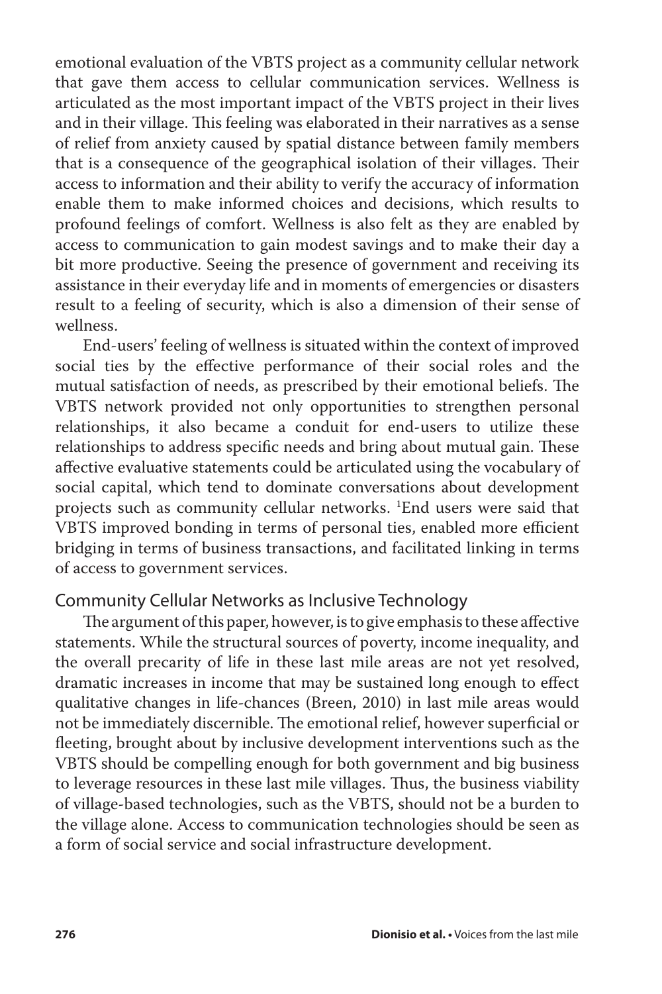emotional evaluation of the VBTS project as a community cellular network that gave them access to cellular communication services. Wellness is articulated as the most important impact of the VBTS project in their lives and in their village. This feeling was elaborated in their narratives as a sense of relief from anxiety caused by spatial distance between family members that is a consequence of the geographical isolation of their villages. Their access to information and their ability to verify the accuracy of information enable them to make informed choices and decisions, which results to profound feelings of comfort. Wellness is also felt as they are enabled by access to communication to gain modest savings and to make their day a bit more productive. Seeing the presence of government and receiving its assistance in their everyday life and in moments of emergencies or disasters result to a feeling of security, which is also a dimension of their sense of wellness.

End-users' feeling of wellness is situated within the context of improved social ties by the effective performance of their social roles and the mutual satisfaction of needs, as prescribed by their emotional beliefs. The VBTS network provided not only opportunities to strengthen personal relationships, it also became a conduit for end-users to utilize these relationships to address specific needs and bring about mutual gain. These affective evaluative statements could be articulated using the vocabulary of social capital, which tend to dominate conversations about development projects such as community cellular networks. 1 End users were said that VBTS improved bonding in terms of personal ties, enabled more efficient bridging in terms of business transactions, and facilitated linking in terms of access to government services.

#### Community Cellular Networks as Inclusive Technology

The argument of this paper, however, is to give emphasis to these affective statements. While the structural sources of poverty, income inequality, and the overall precarity of life in these last mile areas are not yet resolved, dramatic increases in income that may be sustained long enough to effect qualitative changes in life-chances (Breen, 2010) in last mile areas would not be immediately discernible. The emotional relief, however superficial or fleeting, brought about by inclusive development interventions such as the VBTS should be compelling enough for both government and big business to leverage resources in these last mile villages. Thus, the business viability of village-based technologies, such as the VBTS, should not be a burden to the village alone. Access to communication technologies should be seen as a form of social service and social infrastructure development.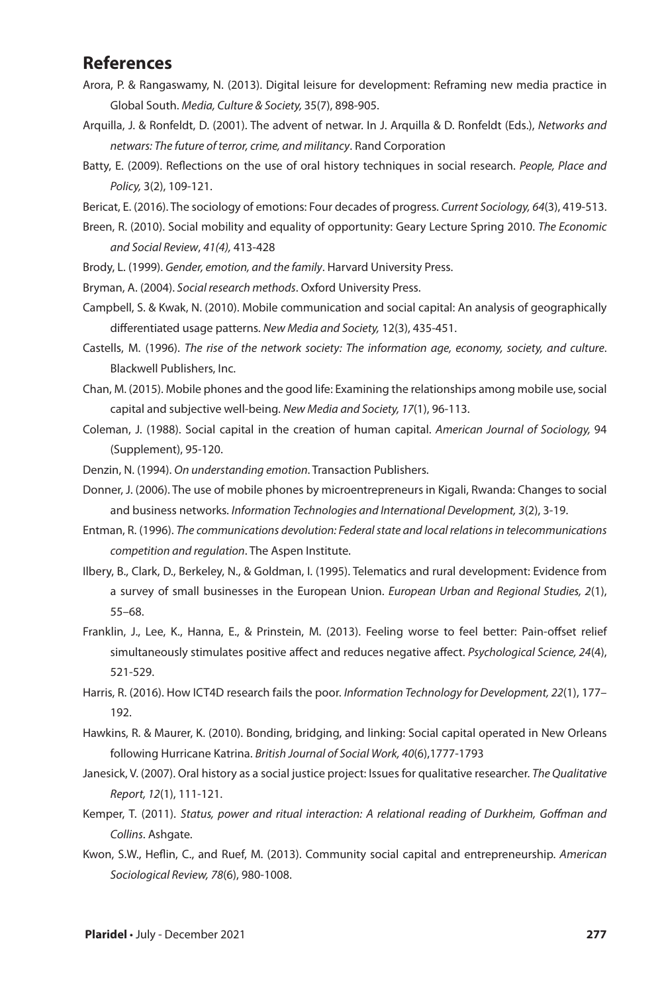#### **References**

- Arora, P. & Rangaswamy, N. (2013). Digital leisure for development: Reframing new media practice in Global South. *Media, Culture & Society,* 35(7), 898-905.
- Arquilla, J. & Ronfeldt, D. (2001). The advent of netwar. In J. Arquilla & D. Ronfeldt (Eds.), *Networks and netwars: The future of terror, crime, and militancy*. Rand Corporation
- Batty, E. (2009). Reflections on the use of oral history techniques in social research. *People, Place and Policy,* 3(2), 109-121.
- Bericat, E. (2016). The sociology of emotions: Four decades of progress. *Current Sociology, 64*(3), 419-513.
- Breen, R. (2010). Social mobility and equality of opportunity: Geary Lecture Spring 2010. *The Economic and Social Review*, *41(4),* 413-428
- Brody, L. (1999). *Gender, emotion, and the family*. Harvard University Press.
- Bryman, A. (2004). *Social research methods*. Oxford University Press.
- Campbell, S. & Kwak, N. (2010). Mobile communication and social capital: An analysis of geographically differentiated usage patterns. *New Media and Society,* 12(3), 435-451.
- Castells, M. (1996). *The rise of the network society: The information age, economy, society, and culture*. Blackwell Publishers, Inc.
- Chan, M. (2015). Mobile phones and the good life: Examining the relationships among mobile use, social capital and subjective well-being. *New Media and Society, 17*(1), 96-113.
- Coleman, J. (1988). Social capital in the creation of human capital. *American Journal of Sociology,* 94 (Supplement), 95-120.
- Denzin, N. (1994). *On understanding emotion*. Transaction Publishers.
- Donner, J. (2006). The use of mobile phones by microentrepreneurs in Kigali, Rwanda: Changes to social and business networks. *Information Technologies and International Development, 3*(2), 3-19.
- Entman, R. (1996). *The communications devolution: Federal state and local relations in telecommunications competition and regulation*. The Aspen Institute.
- Ilbery, B., Clark, D., Berkeley, N., & Goldman, I. (1995). Telematics and rural development: Evidence from a survey of small businesses in the European Union. *European Urban and Regional Studies, 2*(1), 55–68.
- Franklin, J., Lee, K., Hanna, E., & Prinstein, M. (2013). Feeling worse to feel better: Pain-offset relief simultaneously stimulates positive affect and reduces negative affect. *Psychological Science, 24*(4), 521-529.
- Harris, R. (2016). How ICT4D research fails the poor. *Information Technology for Development, 22*(1), 177– 192.
- Hawkins, R. & Maurer, K. (2010). Bonding, bridging, and linking: Social capital operated in New Orleans following Hurricane Katrina. *British Journal of Social Work, 40*(6),1777-1793
- Janesick, V. (2007). Oral history as a social justice project: Issues for qualitative researcher. *The Qualitative Report, 12*(1), 111-121.
- Kemper, T. (2011). *Status, power and ritual interaction: A relational reading of Durkheim, Goffman and Collins*. Ashgate.
- Kwon, S.W., Heflin, C., and Ruef, M. (2013). Community social capital and entrepreneurship. *American Sociological Review, 78*(6), 980-1008.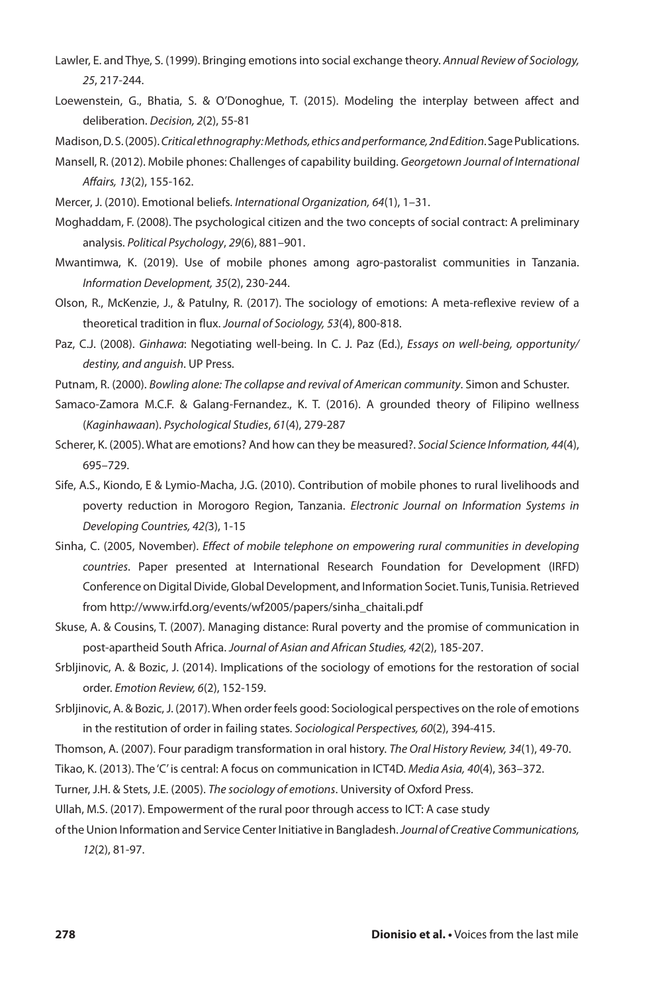- Lawler, E. and Thye, S. (1999). Bringing emotions into social exchange theory. *Annual Review of Sociology, 25*, 217-244.
- Loewenstein, G., Bhatia, S. & O'Donoghue, T. (2015). Modeling the interplay between affect and deliberation. *Decision, 2*(2), 55-81

Madison, D. S. (2005). *Critical ethnography: Methods, ethics and performance, 2nd Edition*.Sage Publications.

- Mansell, R. (2012). Mobile phones: Challenges of capability building. *Georgetown Journal of International Affairs, 13*(2), 155-162.
- Mercer, J. (2010). Emotional beliefs. *International Organization, 64*(1), 1–31.
- Moghaddam, F. (2008). The psychological citizen and the two concepts of social contract: A preliminary analysis. *Political Psychology*, *29*(6), 881–901.
- Mwantimwa, K. (2019). Use of mobile phones among agro-pastoralist communities in Tanzania. *Information Development, 35*(2), 230-244.
- Olson, R., McKenzie, J., & Patulny, R. (2017). The sociology of emotions: A meta-reflexive review of a theoretical tradition in flux. *Journal of Sociology, 53*(4), 800-818.
- Paz, C.J. (2008). *Ginhawa*: Negotiating well-being. In C. J. Paz (Ed.), *Essays on well-being, opportunity/ destiny, and anguish*. UP Press.
- Putnam, R. (2000). *Bowling alone: The collapse and revival of American community*. Simon and Schuster.
- Samaco-Zamora M.C.F. & Galang-Fernandez., K. T. (2016). A grounded theory of Filipino wellness (*Kaginhawaan*). *Psychological Studies*, *61*(4), 279-287
- Scherer, K. (2005). What are emotions? And how can they be measured?. *Social Science Information, 44*(4), 695–729.
- Sife, A.S., Kiondo, E & Lymio-Macha, J.G. (2010). Contribution of mobile phones to rural livelihoods and poverty reduction in Morogoro Region, Tanzania. *Electronic Journal on Information Systems in Developing Countries, 42(*3), 1-15
- Sinha, C. (2005, November). *Effect of mobile telephone on empowering rural communities in developing countries*. Paper presented at International Research Foundation for Development (IRFD) Conference on Digital Divide, Global Development, and Information Societ. Tunis, Tunisia. Retrieved from http://www.irfd.org/events/wf2005/papers/sinha\_chaitali.pdf
- Skuse, A. & Cousins, T. (2007). Managing distance: Rural poverty and the promise of communication in post-apartheid South Africa. *Journal of Asian and African Studies, 42*(2), 185-207.
- Srbljinovic, A. & Bozic, J. (2014). Implications of the sociology of emotions for the restoration of social order. *Emotion Review, 6*(2), 152-159.
- Srbljinovic, A. & Bozic, J. (2017). When order feels good: Sociological perspectives on the role of emotions in the restitution of order in failing states. *Sociological Perspectives, 60*(2), 394-415.
- Thomson, A. (2007). Four paradigm transformation in oral history. *The Oral History Review, 34*(1), 49-70.
- Tikao, K. (2013). The 'C' is central: A focus on communication in ICT4D. *Media Asia, 40*(4), 363–372.
- Turner, J.H. & Stets, J.E. (2005). *The sociology of emotions*. University of Oxford Press.

Ullah, M.S. (2017). Empowerment of the rural poor through access to ICT: A case study

of the Union Information and Service Center Initiative in Bangladesh. *Journal of Creative Communications, 12*(2), 81-97.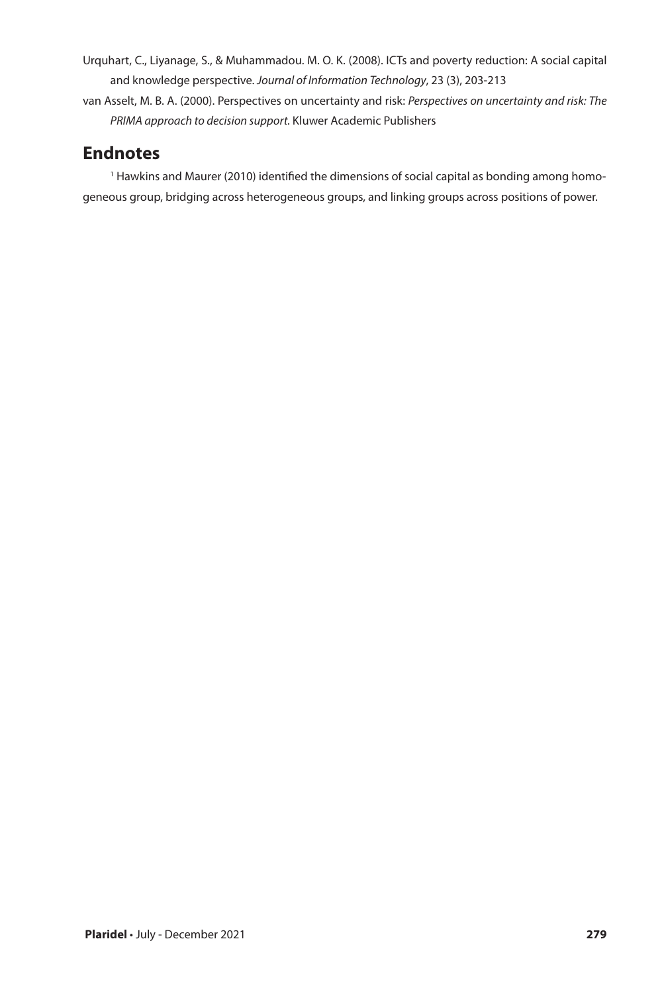- Urquhart, C., Liyanage, S., & Muhammadou. M. O. K. (2008). ICTs and poverty reduction: A social capital and knowledge perspective. *Journal of Information Technology*, 23 (3), 203-213
- van Asselt, M. B. A. (2000). Perspectives on uncertainty and risk: *Perspectives on uncertainty and risk: The PRIMA approach to decision support.* Kluwer Academic Publishers

## **Endnotes**

<sup>1</sup> Hawkins and Maurer (2010) identified the dimensions of social capital as bonding among homogeneous group, bridging across heterogeneous groups, and linking groups across positions of power.